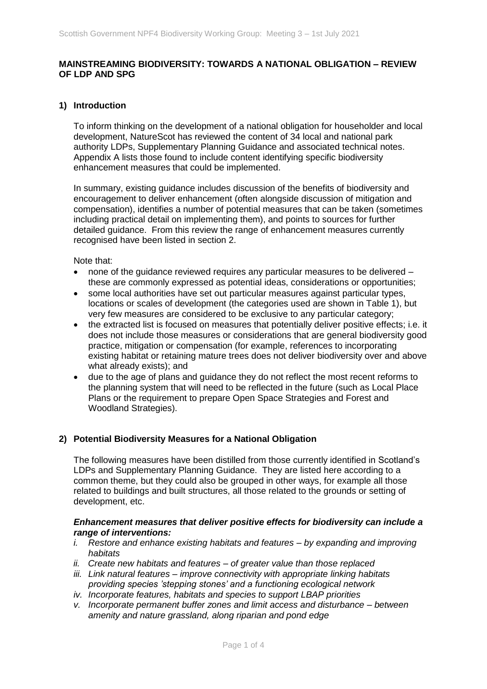### **MAINSTREAMING BIODIVERSITY: TOWARDS A NATIONAL OBLIGATION – REVIEW OF LDP AND SPG**

### **1) Introduction**

To inform thinking on the development of a national obligation for householder and local development, NatureScot has reviewed the content of 34 local and national park authority LDPs, Supplementary Planning Guidance and associated technical notes. Appendix A lists those found to include content identifying specific biodiversity enhancement measures that could be implemented.

In summary, existing guidance includes discussion of the benefits of biodiversity and encouragement to deliver enhancement (often alongside discussion of mitigation and compensation), identifies a number of potential measures that can be taken (sometimes including practical detail on implementing them), and points to sources for further detailed guidance. From this review the range of enhancement measures currently recognised have been listed in section 2.

Note that:

- none of the guidance reviewed requires any particular measures to be delivered these are commonly expressed as potential ideas, considerations or opportunities;
- some local authorities have set out particular measures against particular types, locations or scales of development (the categories used are shown in Table 1), but very few measures are considered to be exclusive to any particular category;
- the extracted list is focused on measures that potentially deliver positive effects; i.e. it does not include those measures or considerations that are general biodiversity good practice, mitigation or compensation (for example, references to incorporating existing habitat or retaining mature trees does not deliver biodiversity over and above what already exists); and
- due to the age of plans and guidance they do not reflect the most recent reforms to the planning system that will need to be reflected in the future (such as Local Place Plans or the requirement to prepare Open Space Strategies and Forest and Woodland Strategies).

#### **2) Potential Biodiversity Measures for a National Obligation**

The following measures have been distilled from those currently identified in Scotland's LDPs and Supplementary Planning Guidance. They are listed here according to a common theme, but they could also be grouped in other ways, for example all those related to buildings and built structures, all those related to the grounds or setting of development, etc.

### *Enhancement measures that deliver positive effects for biodiversity can include a range of interventions:*

- *i. Restore and enhance existing habitats and features – by expanding and improving habitats*
- *ii. Create new habitats and features – of greater value than those replaced*
- *iii. Link natural features – improve connectivity with appropriate linking habitats providing species 'stepping stones' and a functioning ecological network*
- *iv. Incorporate features, habitats and species to support LBAP priorities*
- *v. Incorporate permanent buffer zones and limit access and disturbance – between amenity and nature grassland, along riparian and pond edge*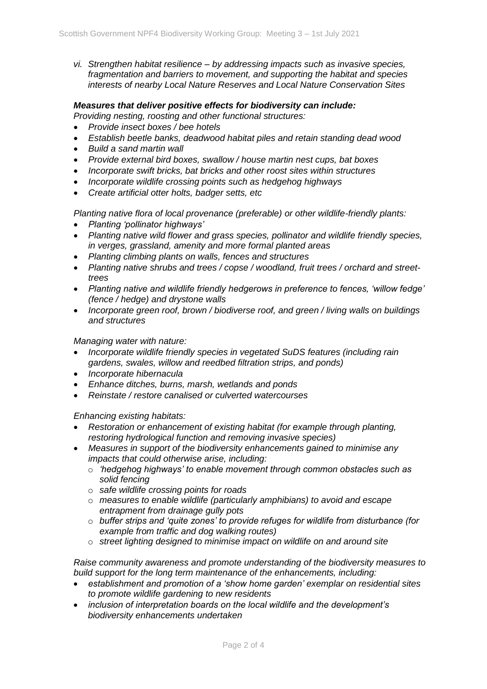*vi. Strengthen habitat resilience – by addressing impacts such as invasive species, fragmentation and barriers to movement, and supporting the habitat and species interests of nearby Local Nature Reserves and Local Nature Conservation Sites* 

## *Measures that deliver positive effects for biodiversity can include:*

*Providing nesting, roosting and other functional structures:*

- *Provide insect boxes / bee hotels*
- *Establish beetle banks, deadwood habitat piles and retain standing dead wood*
- *Build a sand martin wall*
- *Provide external bird boxes, swallow / house martin nest cups, bat boxes*
- *Incorporate swift bricks, bat bricks and other roost sites within structures*
- *Incorporate wildlife crossing points such as hedgehog highways*
- *Create artificial otter holts, badger setts, etc*

*Planting native flora of local provenance (preferable) or other wildlife-friendly plants:*

- *Planting 'pollinator highways'*
- *Planting native wild flower and grass species, pollinator and wildlife friendly species, in verges, grassland, amenity and more formal planted areas*
- *Planting climbing plants on walls, fences and structures*
- *Planting native shrubs and trees / copse / woodland, fruit trees / orchard and streettrees*
- *Planting native and wildlife friendly hedgerows in preference to fences, 'willow fedge' (fence / hedge) and drystone walls*
- *Incorporate green roof, brown / biodiverse roof, and green / living walls on buildings and structures*

### *Managing water with nature:*

- *Incorporate wildlife friendly species in vegetated SuDS features (including rain gardens, swales, willow and reedbed filtration strips, and ponds)*
- *Incorporate hibernacula*
- *Enhance ditches, burns, marsh, wetlands and ponds*
- *Reinstate / restore canalised or culverted watercourses*

*Enhancing existing habitats:* 

- *Restoration or enhancement of existing habitat (for example through planting, restoring hydrological function and removing invasive species)*
- *Measures in support of the biodiversity enhancements gained to minimise any impacts that could otherwise arise, including:*
	- o *'hedgehog highways' to enable movement through common obstacles such as solid fencing*
	- o *safe wildlife crossing points for roads*
	- o *measures to enable wildlife (particularly amphibians) to avoid and escape entrapment from drainage gully pots*
	- o *buffer strips and 'quite zones' to provide refuges for wildlife from disturbance (for example from traffic and dog walking routes)*
	- o *street lighting designed to minimise impact on wildlife on and around site*

*Raise community awareness and promote understanding of the biodiversity measures to build support for the long term maintenance of the enhancements, including:*

- *establishment and promotion of a 'show home garden' exemplar on residential sites to promote wildlife gardening to new residents*
- *inclusion of interpretation boards on the local wildlife and the development's biodiversity enhancements undertaken*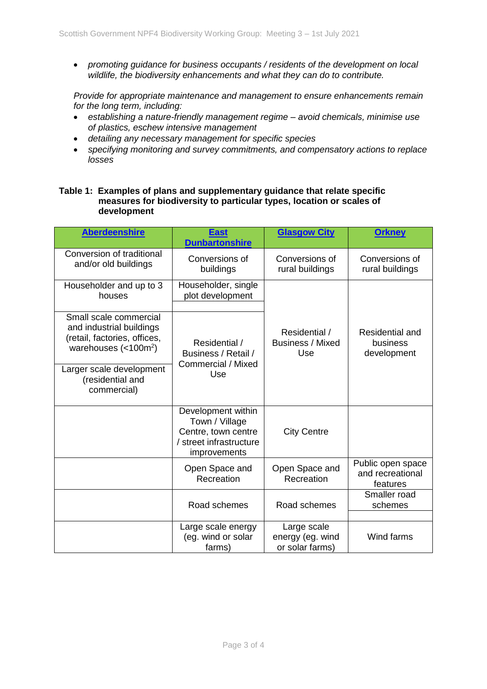*promoting guidance for business occupants / residents of the development on local wildlife, the biodiversity enhancements and what they can do to contribute.*

*Provide for appropriate maintenance and management to ensure enhancements remain for the long term, including:*

- *establishing a nature-friendly management regime – avoid chemicals, minimise use of plastics, eschew intensive management*
- *detailing any necessary management for specific species*
- *specifying monitoring and survey commitments, and compensatory actions to replace losses*

## **Table 1: Examples of plans and supplementary guidance that relate specific measures for biodiversity to particular types, location or scales of development**

| <b>Aberdeenshire</b>                                                                                                                                                                               | <b>East</b><br><b>Dunbartonshire</b>                                                                   | <b>Glasgow City</b>                                | <b>Orkney</b>                                     |
|----------------------------------------------------------------------------------------------------------------------------------------------------------------------------------------------------|--------------------------------------------------------------------------------------------------------|----------------------------------------------------|---------------------------------------------------|
| Conversion of traditional<br>and/or old buildings                                                                                                                                                  | Conversions of<br>buildings                                                                            | Conversions of<br>rural buildings                  | Conversions of<br>rural buildings                 |
| Householder and up to 3<br>houses                                                                                                                                                                  | Householder, single<br>plot development                                                                |                                                    |                                                   |
| Small scale commercial<br>and industrial buildings<br>(retail, factories, offices,<br>warehouses $\left($ < 100 $\text{m}^2\right)$<br>Larger scale development<br>(residential and<br>commercial) | Residential /<br>Business / Retail /<br>Commercial / Mixed<br>Use                                      | Residential /<br><b>Business / Mixed</b><br>Use    | <b>Residential and</b><br>business<br>development |
|                                                                                                                                                                                                    | Development within<br>Town / Village<br>Centre, town centre<br>/ street infrastructure<br>improvements | <b>City Centre</b>                                 |                                                   |
|                                                                                                                                                                                                    | Open Space and<br>Recreation                                                                           | Open Space and<br>Recreation                       | Public open space<br>and recreational<br>features |
|                                                                                                                                                                                                    | Road schemes                                                                                           | Road schemes                                       | Smaller road<br>schemes                           |
|                                                                                                                                                                                                    | Large scale energy<br>(eg. wind or solar<br>farms)                                                     | Large scale<br>energy (eg. wind<br>or solar farms) | Wind farms                                        |